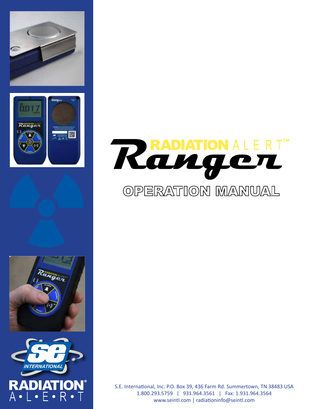









S.E. International, Inc. P.O. Box 39, 436 Farm Rd. Summertown, TN 38483 USA 1.800.293.5759 | 931.964.3561 | Fax: 1.931.964.3564 www.seintl.com | radiationinfo@seintl.com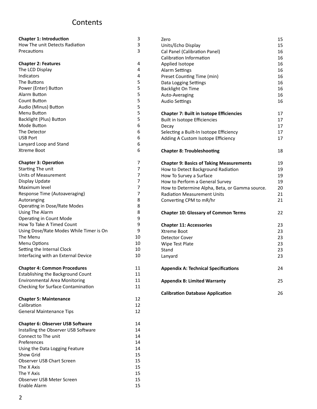# **Contents**

| <b>Chapter 1: Introduction</b>          | 3  | Zero                                            | 15 |
|-----------------------------------------|----|-------------------------------------------------|----|
| How The unit Detects Radiation          | 3  | Units/Echo Display                              | 15 |
| Precautions                             | 3  | Cal Panel (Calibration Panel)                   | 16 |
|                                         |    | Calibration Information                         | 16 |
| <b>Chapter 2: Features</b>              | 4  | Applied Isotope                                 | 16 |
| The LCD Display                         | 4  | <b>Alarm Settings</b>                           | 16 |
| Indicators                              | 4  | Preset Counting Time (min)                      | 16 |
| The Buttons                             | 5  | Data Logging Settings                           | 16 |
| Power (Enter) Button                    | 5  | <b>Backlight On Time</b>                        | 16 |
| Alarm Button                            | 5  | Auto-Averaging                                  | 16 |
| <b>Count Button</b>                     | 5  | <b>Audio Settings</b>                           | 16 |
| Audio (Minus) Button                    | 5  |                                                 |    |
| Menu Button                             | 5  | <b>Chapter 7: Built in Isotope Efficiencies</b> | 17 |
| Backlight (Plus) Button                 | 5  | Built in Isotope Efficiencies                   | 17 |
| Mode Button                             | 6  | Decay                                           | 17 |
| The Detector                            | 6  | Selecting a Built-In Isotope Efficiency         | 17 |
| <b>USB Port</b>                         | 6  | Adding A Custom Isotope Efficiency              | 17 |
| Lanyard Loop and Stand                  | 6  |                                                 |    |
| Xtreme Boot                             | 6  | <b>Chapter 8: Troubleshooting</b>               | 18 |
| <b>Chapter 3: Operation</b>             | 7  | <b>Chapter 9: Basics of Taking Measurements</b> | 19 |
| Starting The unit                       | 7  | How to Detect Background Radiation              | 19 |
| <b>Units of Measurement</b>             | 7  | How To Survey a Surface                         | 19 |
| Display Update                          | 7  | How to Perform a General Survey                 | 19 |
| Maximum level                           | 7  | How to Determine Alpha, Beta, or Gamma source.  | 20 |
| Response Time (Autoaveraging)           | 7  | <b>Radiation Measurement Units</b>              | 21 |
| Autoranging                             | 8  | Converting CPM to mR/hr                         | 21 |
| <b>Operating in Dose/Rate Modes</b>     | 8  |                                                 |    |
| Using The Alarm                         | 8  | <b>Chapter 10: Glossary of Common Terms</b>     | 22 |
| <b>Operating in Count Mode</b>          | 9  |                                                 |    |
| How To Take A Timed Count               | 9  | <b>Chapter 11: Accessories</b>                  | 23 |
| Using Dose/Rate Modes While Timer is On | 9  | Xtreme Boot                                     | 23 |
| The Menu                                | 10 | <b>Detector Cover</b>                           | 23 |
| Menu Options                            | 10 | Wipe Test Plate                                 | 23 |
| Setting the Internal Clock              | 10 | Stand                                           | 23 |
| Interfacing with an External Device     | 10 | Lanyard                                         | 23 |
|                                         |    |                                                 |    |
| <b>Chapter 4: Common Procedures</b>     | 11 | <b>Appendix A: Technical Specifications</b>     | 24 |
| Establishing the Background Count       | 11 |                                                 |    |
| <b>Environmental Area Monitoring</b>    | 11 | <b>Appendix B: Limited Warranty</b>             | 25 |
| Checking for Surface Contamination      | 11 |                                                 |    |
|                                         |    | <b>Calibration Database Application</b>         | 26 |
| <b>Chapter 5: Maintenance</b>           | 12 |                                                 |    |
| Calibration                             | 12 |                                                 |    |
| <b>General Maintenance Tips</b>         | 12 |                                                 |    |
| <b>Chapter 6: Observer USB Software</b> | 14 |                                                 |    |
| Installing the Observer USB Software    | 14 |                                                 |    |
| Connect to The unit                     | 14 |                                                 |    |
| Preferences                             | 14 |                                                 |    |
| Using the Data Logging Feature          | 14 |                                                 |    |
| Show Grid                               | 15 |                                                 |    |
| Observer USB Chart Screen               | 15 |                                                 |    |
| The X Axis                              | 15 |                                                 |    |
| The Y Axis                              | 15 |                                                 |    |
| Observer USB Meter Screen               | 15 |                                                 |    |
| Enable Alarm                            | 15 |                                                 |    |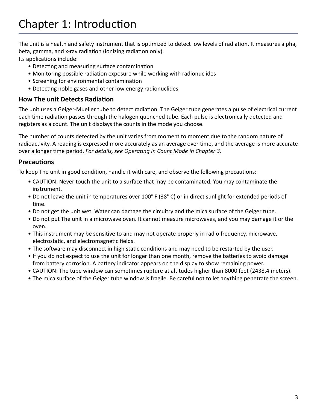The unit is a health and safety instrument that is optimized to detect low levels of radiation. It measures alpha, beta, gamma, and x-ray radiation (ionizing radiation only).

Its applications include:

- Detecting and measuring surface contamination
- Monitoring possible radiation exposure while working with radionuclides
- Screening for environmental contamination
- Detecting noble gases and other low energy radionuclides

## **How The unit Detects Radiation**

The unit uses a Geiger-Mueller tube to detect radiation. The Geiger tube generates a pulse of electrical current each time radiation passes through the halogen quenched tube. Each pulse is electronically detected and registers as a count. The unit displays the counts in the mode you choose.

The number of counts detected by the unit varies from moment to moment due to the random nature of radioactivity. A reading is expressed more accurately as an average over time, and the average is more accurate over a longer time period. *For details, see Operating in Count Mode in Chapter 3.*

## **Precautions**

To keep The unit in good condition, handle it with care, and observe the following precautions:

- CAUTION: Never touch the unit to a surface that may be contaminated. You may contaminate the instrument.
- Do not leave the unit in temperatures over 100° F (38° C) or in direct sunlight for extended periods of time.
- Do not get the unit wet. Water can damage the circuitry and the mica surface of the Geiger tube.
- Do not put The unit in a microwave oven. It cannot measure microwaves, and you may damage it or the oven.
- This instrument may be sensitive to and may not operate properly in radio frequency, microwave, electrostatic, and electromagnetic fields.
- The software may disconnect in high static conditions and may need to be restarted by the user.
- If you do not expect to use the unit for longer than one month, remove the batteries to avoid damage from battery corrosion. A battery indicator appears on the display to show remaining power.
- CAUTION: The tube window can sometimes rupture at altitudes higher than 8000 feet (2438.4 meters).
- The mica surface of the Geiger tube window is fragile. Be careful not to let anything penetrate the screen.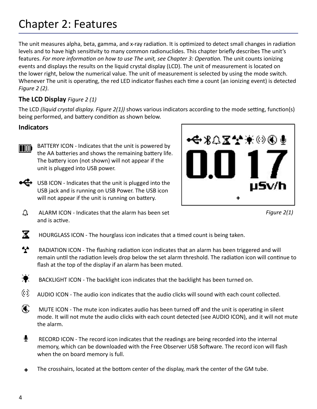# Chapter 2: Features

The unit measures alpha, beta, gamma, and x-ray radiation. It is optimized to detect small changes in radiation levels and to have high sensitivity to many common radionuclides. This chapter briefly describes The unit's features. *For more information on how to use The unit, see Chapter 3: Operation*. The unit counts ionizing events and displays the results on the liquid crystal display (LCD). The unit of measurement is located on the lower right, below the numerical value. The unit of measurement is selected by using the mode switch. Whenever The unit is operating, the red LED indicator flashes each time a count (an ionizing event) is detected *Figure 2 (2)*.

## **The LCD Display** *Figure 2 (1)*

The LCD *(liquid crystal display. Figure 2(1))* shows various indicators according to the mode setting, function(s) being performed, and battery condition as shown below.

#### **Indicators**

**TIOD)** 

BATTERY ICON - Indicates that the unit is powered by the AA batteries and shows the remaining battery life. The battery icon (not shown) will not appear if the unit is plugged into USB power.

 $\leftarrow$  USB ICON - Indicates that the unit is plugged into the USB jack and is running on USB Power. The USB icon will not appear if the unit is running on battery.



*Figure 2(1)*

- △ ALARM ICON - Indicates that the alarm has been set and is active.
- $\mathbf x$ HOURGLASS ICON - The hourglass icon indicates that a timed count is being taken.
- $\mathbf{A}$  RADIATION ICON - The flashing radiation icon indicates that an alarm has been triggered and will remain until the radiation levels drop below the set alarm threshold. The radiation icon will continue to flash at the top of the display if an alarm has been muted.
- $\bullet$ BACKLIGHT ICON - The backlight icon indicates that the backlight has been turned on.
- 03. AUDIO ICON - The audio icon indicates that the audio clicks will sound with each count collected.
- $\mathbf{\mathfrak{a}}$  MUTE ICON - The mute icon indicates audio has been turned off and the unit is operating in silent mode. It will not mute the audio clicks with each count detected (see AUDIO ICON), and it will not mute the alarm.
- RECORD ICON - The record icon indicates that the readings are being recorded into the internal memory, which can be downloaded with the Free Observer USB Software. The record icon will flash when the on board memory is full.
- The crosshairs, located at the bottom center of the display, mark the center of the GM tube. +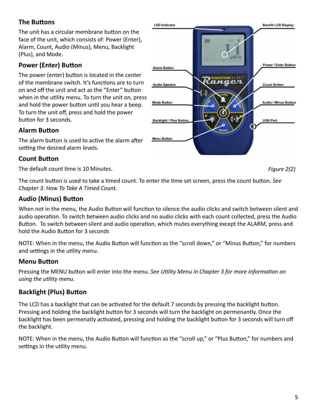## **The Buttons**

The unit has a circular membrane button on the face of the unit, which consists of: Power (Enter), Alarm, Count, Audio (Minus), Menu, Backlight (Plus), and Mode.

## **Power (Enter) Button**

The power (enter) button is located in the center of the membrane switch. It's functions are to turn on and off the unit and act as the "Enter" button when in the utility menu. To turn the unit on, press and hold the power button until you hear a beep. To turn the unit off, press and hold the power button for 3 seconds.

#### **Alarm Button**

The alarm button is used to active the alarm after setting the desired alarm levels.

#### **Count Button**

The default count time is 10 Minutes.

The count button is used to take a timed count. To enter the time set screen, press the count button. *See Chapter 3: How To Take A Timed Count.*

#### **Audio (Minus) Button**

When not in the menu, the Audio Button will function to silence the audio clicks and switch between silent and audio operation. To switch between audio clicks and no audio clicks with each count collected, press the Audio Button. To switch between silent and audio operation, which mutes everything except the ALARM, press and hold the Audio Button for 3 seconds

NOTE: When in the menu, the Audio Button will function as the "scroll down," or "Minus Button," for numbers and settings in the utility menu.

#### **Menu Button**

Pressing the MENU button will enter into the menu. *See Utility Menu in Chapter 3 for more information on using the utility menu.* 

## **Backlight (Plus) Button**

The LCD has a backlight that can be activated for the default 7 seconds by pressing the backlight button. Pressing and holding the backlight button for 3 seconds will turn the backlight on permenantly. Once the backlight has been permenatly activated, pressing and holding the backlight button for 3 seconds will turn off the backlight.

NOTE: When in the menu, the Audio Button will function as the "scroll up," or "Plus Button," for numbers and settings in the utility menu.

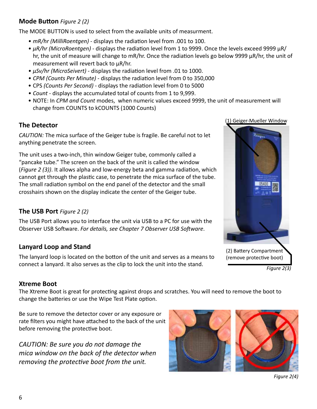#### **Mode Button** *Figure 2 (2)*

The MODE BUTTON is used to select from the available units of measurment.

- *• mR/hr (MilliRoentgen)*  displays the radiation level from .001 to 100.
- *• µR/hr (MicroRoentgen)*  displays the radiation level from 1 to 9999. Once the levels exceed 9999 µR/ hr, the unit of measure will change to mR/hr. Once the radiation levels go below 9999 µR/hr, the unit of measurement will revert back to µR/hr.
- *• µSv/hr (MicroSeivert)*  displays the radiation level from .01 to 1000.
- *• CPM (Counts Per Minute)* displays the radiation level from 0 to 350,000
- CPS *(Counts Per Second)*  displays the radiation level from 0 to 5000
- *• Count* displays the accumulated total of counts from 1 to 9,999.
- NOTE: In *CPM and Count* modes, when numeric values exceed 9999, the unit of measurement will change from COUNTS to kCOUNTS (1000 Counts)

#### **The Detector**

*CAUTION:* The mica surface of the Geiger tube is fragile. Be careful not to let anything penetrate the screen.

The unit uses a two-inch, thin window Geiger tube, commonly called a "pancake tube." The screen on the back of the unit is called the window (*Figure 2 (3))*. It allows alpha and low-energy beta and gamma radiation, which cannot get through the plastic case, to penetrate the mica surface of the tube. The small radiation symbol on the end panel of the detector and the small crosshairs shown on the display indicate the center of the Geiger tube.

#### **The USB Port** *Figure 2 (2)*

The USB Port allows you to interface the unit via USB to a PC for use with the Observer USB Software. *For details, see Chapter 7 Observer USB Software*.

## **Lanyard Loop and Stand**

The lanyard loop is located on the botton of the unit and serves as a means to connect a lanyard. It also serves as the clip to lock the unit into the stand.





*Figure 2(3)*

#### **Xtreme Boot**

The Xtreme Boot is great for protecting against drops and scratches. You will need to remove the boot to change the batteries or use the Wipe Test Plate option.

Be sure to remove the detector cover or any exposure or rate filters you might have attached to the back of the unit before removing the protective boot.

*CAUTION: Be sure you do not damage the mica window on the back of the detector when removing the protective boot from the unit.* 



*Figure 2(4)*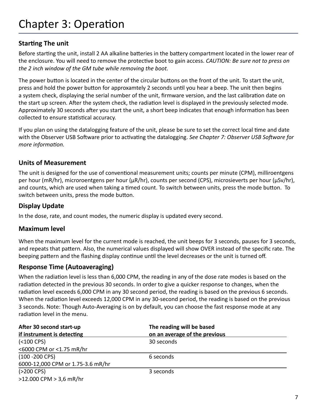# **Starting The unit**

Before starting the unit, install 2 AA alkaline batteries in the battery compartment located in the lower rear of the enclosure. You will need to remove the protective boot to gain access. *CAUTION: Be sure not to press on the 2 inch window of the GM tube while removing the boot.*

The power button is located in the center of the circular buttons on the front of the unit. To start the unit, press and hold the power button for approxamtely 2 seconds until you hear a beep. The unit then begins a system check, displaying the serial number of the unit, firmware version, and the last calibration date on the start up screen. After the system check, the radiation level is displayed in the previously selected mode. Approximately 30 seconds after you start the unit, a short beep indicates that enough information has been collected to ensure statistical accuracy.

If you plan on using the datalogging feature of the unit, please be sure to set the correct local time and date with the Observer USB Software prior to activating the datalogging. *See Chapter 7: Observer USB Software for more information.* 

## **Units of Measurement**

The unit is designed for the use of conventional measurement units; counts per minute (CPM), milliroentgens per hour (mR/hr), microroentgens per hour (μR/hr), counts per second (CPS), microsieverts per hour (μSv/hr), and counts, which are used when taking a timed count. To switch between units, press the mode button. To switch between units, press the mode button.

## **Display Update**

In the dose, rate, and count modes, the numeric display is updated every second.

#### **Maximum level**

When the maximum level for the current mode is reached, the unit beeps for 3 seconds, pauses for 3 seconds, and repeats that pattern. Also, the numerical values displayed will show OVER instead of the specific rate. The beeping pattern and the flashing display continue until the level decreases or the unit is turned off.

#### **Response Time (Autoaveraging)**

When the radiation level is less than 6,000 CPM, the reading in any of the dose rate modes is based on the radiation detected in the previous 30 seconds. In order to give a quicker response to changes, when the radiation level exceeds 6,000 CPM in any 30 second period, the reading is based on the previous 6 seconds. When the radiation level exceeds 12,000 CPM in any 30-second period, the reading is based on the previous 3 seconds. Note: Though Auto-Averaging is on by default, you can choose the fast response mode at any radiation level in the menu.

| After 30 second start-up          | The reading will be based     |  |
|-----------------------------------|-------------------------------|--|
| if instrument is detecting        | on an average of the previous |  |
| $( < 100$ CPS)                    | 30 seconds                    |  |
| <6000 CPM or <1.75 mR/hr          |                               |  |
| $(100 - 200$ CPS)                 | 6 seconds                     |  |
| 6000-12,000 CPM or 1.75-3.6 mR/hr |                               |  |
| $( > 200$ CPS)                    | 3 seconds                     |  |
| >12.000 CPM > 3,6 mR/hr           |                               |  |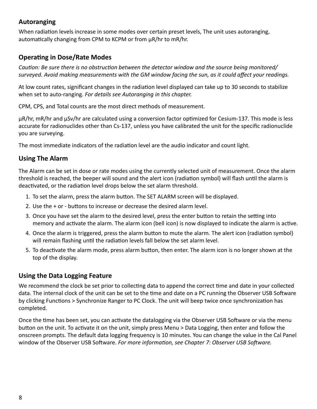### **Autoranging**

When radiation levels increase in some modes over certain preset levels, The unit uses autoranging, automatically changing from CPM to KCPM or from µR/hr to mR/hr.

### **Operating in Dose/Rate Modes**

*Caution: Be sure there is no obstruction between the detector window and the source being monitored/ surveyed. Avoid making measurements with the GM window facing the sun, as it could affect your readings.*

At low count rates, significant changes in the radiation level displayed can take up to 30 seconds to stabilize when set to auto-ranging. *For details see Autoranging in this chapter.*

CPM, CPS, and Total counts are the most direct methods of measurement.

µR/hr, mR/hr and µSv/hr are calculated using a conversion factor optimized for Cesium-137. This mode is less accurate for radionuclides other than Cs-137, unless you have calibrated the unit for the specific radionuclide you are surveying.

The most immediate indicators of the radiation level are the audio indicator and count light.

#### **Using The Alarm**

The Alarm can be set in dose or rate modes using the currently selected unit of measurement. Once the alarm threshold is reached, the beeper will sound and the alert icon (radiation symbol) will flash until the alarm is deactivated, or the radiation level drops below the set alarm threshold.

- 1. To set the alarm, press the alarm button. The SET ALARM screen will be displayed.
- 2. Use the + or buttons to increase or decrease the desired alarm level.
- 3. Once you have set the alarm to the desired level, press the enter button to retain the setting into memory and activate the alarm. The alarm icon (bell icon) is now displayed to indicate the alarm is active.
- 4. Once the alarm is triggered, press the alarm button to mute the alarm. The alert icon (radiation symbol) will remain flashing until the radiation levels fall below the set alarm level.
- 5. To deactivate the alarm mode, press alarm button, then enter. The alarm icon is no longer shown at the top of the display.

#### **Using the Data Logging Feature**

We recommend the clock be set prior to collecting data to append the correct time and date in your collected data. The internal clock of the unit can be set to the time and date on a PC running the Observer USB Software by clicking Functions > Synchronize Ranger to PC Clock. The unit will beep twice once synchronization has completed.

Once the time has been set, you can activate the datalogging via the Observer USB Software or via the menu button on the unit. To activate it on the unit, simply press Menu > Data Logging, then enter and follow the onscreen prompts. The default data logging frequency is 10 minutes. You can change the value in the Cal Panel window of the Observer USB Software. *For more information, see Chapter 7: Observer USB Software.*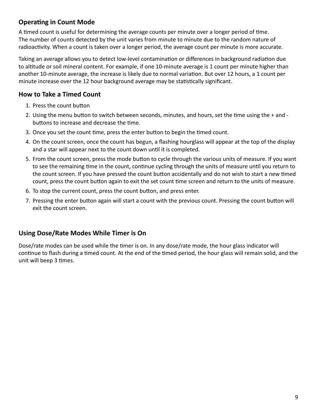## **Operating in Count Mode**

A timed count is useful for determining the average counts per minute over a longer period of time. The number of counts detected by the unit varies from minute to minute due to the random nature of radioactivity. When a count is taken over a longer period, the average count per minute is more accurate.

Taking an average allows you to detect low-level contamination or differences in background radiation due to altitude or soil mineral content. For example, if one 10-minute average is 1 count per minute higher than another 10-minute average, the increase is likely due to normal variation. But over 12 hours, a 1 count per minute increase over the 12 hour background average may be statistically significant.

## **How to Take a Timed Count**

- 1. Press the count button
- 2. Using the menu button to switch between seconds, minutes, and hours, set the time using the + and buttons to increase and decrease the time.
- 3. Once you set the count time, press the enter button to begin the timed count.
- 4. On the count screen, once the count has begun, a flashing hourglass will appear at the top of the display and a star will appear next to the count down until it is completed.
- 5. From the count screen, press the mode button to cycle through the various units of measure. If you want to see the remaining time in the count, continue cycling through the units of measure until you return to the count screen. If you have pressed the count button accidentally and do not wish to start a new timed count, press the count button again to exit the set count time screen and return to the units of measure.
- 6. To stop the current count, press the count button, and press enter.
- 7. Pressing the enter button again will start a count with the previous count. Pressing the count button will exit the count screen.

#### **Using Dose/Rate Modes While Timer is On**

Dose/rate modes can be used while the timer is on. In any dose/rate mode, the hour glass indicator will continue to flash during a timed count. At the end of the timed period, the hour glass will remain solid, and the unit will beep 3 times.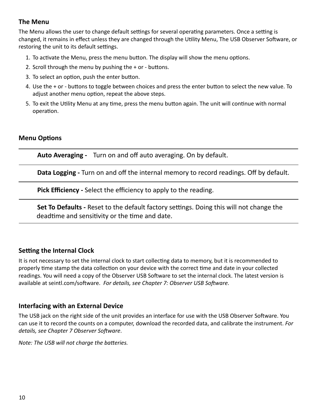#### **The Menu**

The Menu allows the user to change default settings for several operating parameters. Once a setting is changed, it remains in effect unless they are changed through the Utility Menu, The USB Observer Software, or restoring the unit to its default settings.

- 1. To activate the Menu, press the menu button. The display will show the menu options.
- 2. Scroll through the menu by pushing the + or buttons.
- 3. To select an option, push the enter button.
- 4. Use the + or buttons to toggle between choices and press the enter button to select the new value. To adjust another menu option, repeat the above steps.
- 5. To exit the Utility Menu at any time, press the menu button again. The unit will continue with normal operation.

#### **Menu Options**

**Auto Averaging -** Turn on and off auto averaging. On by default.

**Data Logging -** Turn on and off the internal memory to record readings. Off by default.

**Pick Efficiency -** Select the efficiency to apply to the reading.

**Set To Defaults -** Reset to the default factory settings. Doing this will not change the deadtime and sensitivity or the time and date.

#### **Setting the Internal Clock**

It is not necessary to set the internal clock to start collecting data to memory, but it is recommended to properly time stamp the data collection on your device with the correct time and date in your collected readings. You will need a copy of the Observer USB Software to set the internal clock. The latest version is available at seintl.com/software. *For details, see Chapter 7: Observer USB Software.*

#### **Interfacing with an External Device**

The USB jack on the right side of the unit provides an interface for use with the USB Observer Software. You can use it to record the counts on a computer, download the recorded data, and calibrate the instrument. *For details, see Chapter 7 Observer Software*.

*Note: The USB will not charge the batteries.*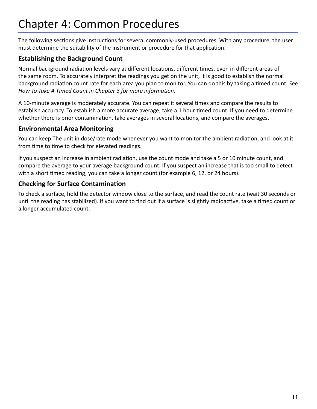# Chapter 4: Common Procedures

The following sections give instructions for several commonly-used procedures. With any procedure, the user must determine the suitability of the instrument or procedure for that application.

## **Establishing the Background Count**

Normal background radiation levels vary at different locations, different times, even in different areas of the same room. To accurately interpret the readings you get on the unit, it is good to establish the normal background radiation count rate for each area you plan to monitor. You can do this by taking a timed count. *See How To Take A Timed Count in Chapter 3 for more information*.

A 10-minute average is moderately accurate. You can repeat it several times and compare the results to establish accuracy. To establish a more accurate average, take a 1 hour timed count. If you need to determine whether there is prior contamination, take averages in several locations, and compare the averages.

## **Environmental Area Monitoring**

You can keep The unit in dose/rate mode whenever you want to monitor the ambient radiation, and look at it from time to time to check for elevated readings.

If you suspect an increase in ambient radiation, use the count mode and take a 5 or 10 minute count, and compare the average to your average background count. If you suspect an increase that is too small to detect with a short timed reading, you can take a longer count (for example 6, 12, or 24 hours).

## **Checking for Surface Contamination**

To check a surface, hold the detector window close to the surface, and read the count rate (wait 30 seconds or until the reading has stabilized). If you want to find out if a surface is slightly radioactive, take a timed count or a longer accumulated count.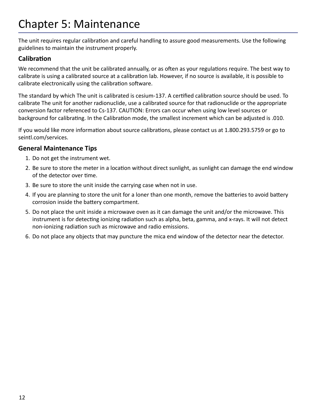# Chapter 5: Maintenance

The unit requires regular calibration and careful handling to assure good measurements. Use the following guidelines to maintain the instrument properly.

## **Calibration**

We recommend that the unit be calibrated annually, or as often as your regulations require. The best way to calibrate is using a calibrated source at a calibration lab. However, if no source is available, it is possible to calibrate electronically using the calibration software.

The standard by which The unit is calibrated is cesium-137. A certified calibration source should be used. To calibrate The unit for another radionuclide, use a calibrated source for that radionuclide or the appropriate conversion factor referenced to Cs-137. CAUTION: Errors can occur when using low level sources or background for calibrating. In the Calibration mode, the smallest increment which can be adjusted is .010.

If you would like more information about source calibrations, please contact us at 1.800.293.5759 or go to seintl.com/services.

#### **General Maintenance Tips**

- 1. Do not get the instrument wet.
- 2. Be sure to store the meter in a location without direct sunlight, as sunlight can damage the end window of the detector over time.
- 3. Be sure to store the unit inside the carrying case when not in use.
- 4. If you are planning to store the unit for a loner than one month, remove the batteries to avoid battery corrosion inside the battery compartment.
- 5. Do not place the unit inside a microwave oven as it can damage the unit and/or the microwave. This instrument is for detecting ionizing radiation such as alpha, beta, gamma, and x-rays. It will not detect non-ionizing radiation such as microwave and radio emissions.
- 6. Do not place any objects that may puncture the mica end window of the detector near the detector.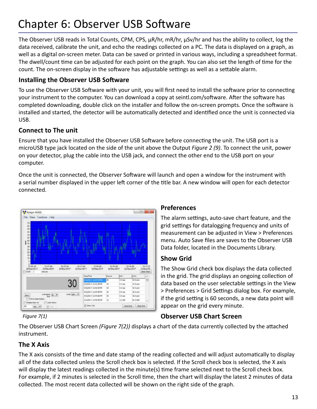# Chapter 6: Observer USB Software

The Observer USB reads in Total Counts, CPM, CPS,  $\mu$ R/hr, mR/hr,  $\mu$ Sv/hr and has the ability to collect, log the data received, calibrate the unit, and echo the readings collected on a PC. The data is displayed on a graph, as well as a digital on-screen meter. Data can be saved or printed in various ways, including a spreadsheet format. The dwell/count time can be adjusted for each point on the graph. You can also set the length of time for the count. The on-screen display in the software has adjustable settings as well as a settable alarm.

#### **Installing the Observer USB Software**

To use the Observer USB Software with your unit, you will first need to install the software prior to connecting your instrument to the computer. You can download a copy at seintl.com/software. After the software has completed downloading, double click on the installer and follow the on-screen prompts. Once the software is installed and started, the detector will be automatically detected and identified once the unit is connected via USB.

## **Connect to The unit**

Ensure that you have installed the Observer USB Software before connecting the unit. The USB port is a microUSB type jack located on the side of the unit above the Output *Figure 2 (9)*. To connect the unit, power on your detector, plug the cable into the USB jack, and connect the other end to the USB port on your computer.

Once the unit is connected, the Observer Software will launch and open a window for the instrument with a serial number displayed in the upper left corner of the title bar. A new window will open for each detector connected.



#### **Preferences**

The alarm settings, auto-save chart feature, and the grid settings for datalogging frequency and units of measurement can be adjusted in View > Preferences menu. Auto Save files are saves to the Observer USB Data folder, located in the Documents Library.

#### **Show Grid**

The Show Grid check box displays the data collected in the grid. The grid displays an ongoing collection of data based on the user selectable settings in the View > Preferences > Grid Settings dialog box. For example, if the grid setting is 60 seconds, a new data point will appear on the grid every minute.

#### *Figure 7(1)*

# **Observer USB Chart Screen**

The Observer USB Chart Screen *(Figure 7(2))* displays a chart of the data currently collected by the attached instrument.

## **The X Axis**

The X axis consists of the time and date stamp of the reading collected and will adjust automatically to display all of the data collected unless the Scroll check box is selected. If the Scroll check box is selected, the X axis will display the latest readings collected in the minute(s) time frame selected next to the Scroll check box. For example, if 2 minutes is selected in the Scroll time, then the chart will display the latest 2 minutes of data collected. The most recent data collected will be shown on the right side of the graph.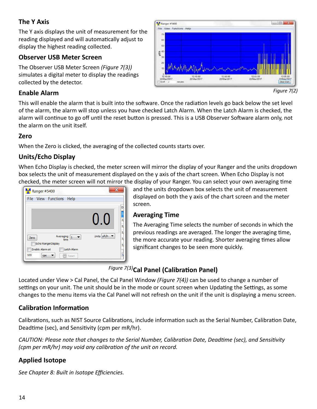## **The Y Axis**

The Y axis displays the unit of measurement for the reading displayed and will automatically adjust to display the highest reading collected.

## **Observer USB Meter Screen**

The Observer USB Meter Screen *(Figure 7(3))* simulates a digital meter to display the readings collected by the detector.

# **Enable Alarm**



*Figure 7(2)*

This will enable the alarm that is built into the software. Once the radiation levels go back below the set level of the alarm, the alarm will stop unless you have checked Latch Alarm. When the Latch Alarm is checked, the alarm will continue to go off until the reset button is pressed. This is a USB Observer Software alarm only, not the alarm on the unit itself.

#### **Zero**

When the Zero is clicked, the averaging of the collected counts starts over.

## **Units/Echo Display**

When Echo Display is checked, the meter screen will mirror the display of your Ranger and the units dropdown box selects the unit of measurement displayed on the y axis of the chart screen. When Echo Display is not checked, the meter screen will not mirror the display of your Ranger. You can select your own averaging time

| Ranger #5400<br>File View Functions Help                               |            |                  |
|------------------------------------------------------------------------|------------|------------------|
|                                                                        |            | D<br>3<br>3<br>3 |
| Averaging<br>$\mathbf{1}$<br>Zero<br>time<br><b>Echo RangerDisplay</b> | Units µR/h | 3<br>3<br>3      |
| Latch Alarm<br>Enable Alarm at<br>100<br>cps<br>ි Reset                |            |                  |

and the units dropdown box selects the unit of measurement displayed on both the y axis of the chart screen and the meter screen.

#### **Averaging Time**

The Averaging Time selects the number of seconds in which the previous readings are averaged. The longer the averaging time, the more accurate your reading. Shorter averaging times allow significant changes to be seen more quickly.

# **Cal Panel (Calibration Panel)** *Figure 7(3)*

Located under View > Cal Panel, the Cal Panel Window *(Figure 7(4))* can be used to change a number of settings on your unit. The unit should be in the mode or count screen when Updating the Settings, as some changes to the menu items via the Cal Panel will not refresh on the unit if the unit is displaying a menu screen.

## **Calibration Information**

Calibrations, such as NIST Source Calibrations, include information such as the Serial Number, Calibration Date, Deadtime (sec), and Sensitivity (cpm per mR/hr).

*CAUTION: Please note that changes to the Serial Number, Calibration Date, Deadtime (sec), and Sensitivity (cpm per mR/hr) may void any calibration of the unit on record.* 

## **Applied Isotope**

*See Chapter 8: Built in Isotope Efficiencies.*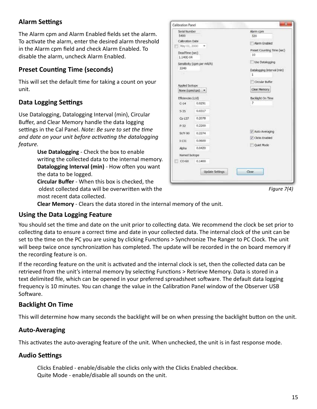## **Alarm Settings**

The Alarm cpm and Alarm Enabled fields set the alarm. To activate the alarm, enter the desired alarm threshold in the Alarm cpm field and check Alarm Enabled. To disable the alarm, uncheck Alarm Enabled.

## **Preset Counting Time (seconds)**

This will set the default time for taking a count on your unit.

#### **Data Logging Settings**

Use Datalogging, Datalogging Interval (min), Circular Buffer, and Clear Memory handle the data logging settings in the Cal Panel. *Note: Be sure to set the time and date on your unit before activating the datalogging feature.*

> **Use Datalogging** - Check the box to enable writing the collected data to the internal memory. **Datalogging Interval (min)** - How often you want the data to be logged.

**Circular Buffer** - When this box is checked, the oldest collected data will be overwritten with the most recent data collected.

| Serial Number        |                            | Alarm com                           |
|----------------------|----------------------------|-------------------------------------|
| 5400                 |                            | 320                                 |
| Calibration Date     |                            | Alarm Enabled                       |
| May 01, 2000         |                            |                                     |
| DeadTime (sec)       |                            | Preset Counting Time (sec)          |
| 1.140E-04            |                            | 10                                  |
|                      | Sensitivity (cpm per mR/h) | Use Datalogging                     |
| 3340                 |                            | Datalogging Interval (min)          |
|                      |                            | 1                                   |
|                      |                            | Circular Buffer                     |
| Applied Isotope      |                            |                                     |
| $None$ (cpm/cps) $-$ |                            | Clear Memory                        |
| Efficiencies (c/d)   |                            | Backlight On Time                   |
| $C-14$               | 0.0291                     | 7                                   |
| 5.35                 | 0.0317                     |                                     |
| $Cs - 137$           | 0.2078                     |                                     |
| $P-32$               | 0.2200                     |                                     |
| $S/Y-90$             | 0.2274                     | V Auto Averaging<br>V Cloks Enabled |
| $1-131$              | 0.0600                     |                                     |
| Alpha                | 0.0420                     | Ouiet Mode                          |
| Named Isotope        |                            |                                     |
| $CO-60$              | 0.1400                     |                                     |

*Figure 7(4)*

**Clear Memory** - Clears the data stored in the internal memory of the unit.

#### **Using the Data Logging Feature**

You should set the time and date on the unit prior to collecting data. We recommend the clock be set prior to collecting data to ensure a correct time and date in your collected data. The internal clock of the unit can be set to the time on the PC you are using by clicking Functions > Synchronize The Ranger to PC Clock. The unit will beep twice once synchronization has completed. The update will be recorded in the on board memory if the recording feature is on.

If the recording feature on the unit is activated and the internal clock is set, then the collected data can be retrieved from the unit's internal memory by selecting Functions > Retrieve Memory. Data is stored in a text delimited file, which can be opened in your preferred spreadsheet software. The default data logging frequency is 10 minutes. You can change the value in the Calibration Panel window of the Observer USB Software.

## **Backlight On Time**

This will determine how many seconds the backlight will be on when pressing the backlight button on the unit.

#### **Auto-Averaging**

This activates the auto-averaging feature of the unit. When unchecked, the unit is in fast response mode.

#### **Audio Settings**

Clicks Enabled - enable/disable the clicks only with the Clicks Enabled checkbox. Quite Mode - enable/disable all sounds on the unit.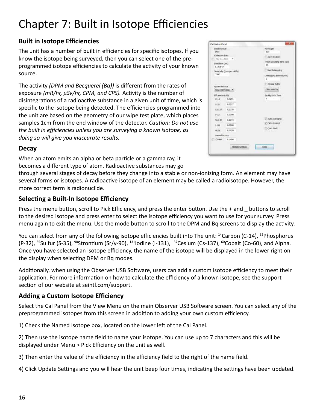## **Built in Isotope Efficiencies**

The unit has a number of built in efficiencies for specific isotopes. If you know the isotope being surveyed, then you can select one of the preprogrammed isotope efficiencies to calculate the activity of your known source.

The activity *(DPM and Becquerel (Bq))* is different from the rates of exposure *(mR/hr, µSv/hr, CPM, and CPS).* Activity is the number of disintegrations of a radioactive substance in a given unit of time, which is specific to the isotope being detected. The efficiencies programmed into the unit are based on the geometry of our wipe test plate, which places samples 1cm from the end window of the detector. *Caution: Do not use the built in efficiencies unless you are surveying a known isotope, as doing so will give you inaccurate results.*

| Calibration Panel            |                              |                                   |
|------------------------------|------------------------------|-----------------------------------|
| <b>Sarial Namber</b><br>5400 |                              | <b>Allerin com</b><br>325         |
| Criberron Date               |                              |                                   |
| 1 HW 01.2010 - v             |                              | Alam Enabled                      |
| DealTane (sec)<br>1.1408-06  |                              | Preset Counting Time (960)<br>30. |
|                              | Senatwity (corn per millitu) | <b>Use Dutatogging</b>            |
| 1340<br>-                    |                              | Deblogong Interval (min)<br>15    |
| Appled Betton                |                              | <b>COUNTRATION</b>                |
| None (com/cpg) -             |                              | Close Hampby                      |
| Efficiencies (UAD)           |                              | Backleht On Time                  |
| 0.14                         | 0.0251                       | <b>P.S. Street</b><br>ro          |
|                              | 5.75 0.0117                  |                                   |
|                              | CA 137 0,2078                |                                   |
| P-10                         | 0.22003                      |                                   |
| St./V-96                     | 0.2274                       | 7. Auto Averaging                 |
| 1431.                        | 0,0000                       | V Cicles Enabled                  |
| Alche.                       | 0.0420                       | Curr Hode                         |
| named isotope                |                              |                                   |
| $0.1400$ $0.1400$            |                              |                                   |
|                              | Update Settings              | Citez.                            |

## **Decay**

When an atom emits an alpha or beta particle or a gamma ray, it becomes a different type of atom. Radioactive substances may go

through several stages of decay before they change into a stable or non-ionizing form. An element may have several forms or isotopes. A radioactive isotope of an element may be called a radioisotope. However, the more correct term is radionuclide.

## **Selecting a Built-In Isotope Efficiency**

Press the menu button, scroll to Pick Efficiency, and press the enter button. Use the + and \_ buttons to scroll to the desired isotope and press enter to select the isotope efficiency you want to use for your survey. Press menu again to exit the menu. Use the mode button to scroll to the DPM and Bq screens to display the activity.

You can select from any of the following isotope efficiencies built into The unit: <sup>14</sup>Carbon (C-14), <sup>32</sup>Phosphorus (P-32),  $35$ Sulfur (S-35),  $90$ Strontium (Sr/y-90),  $131$ Iodine (I-131),  $137$ Cesium (Cs-137),  $60$ Cobalt (Co-60), and Alpha. Once you have selected an isotope efficiency, the name of the isotope will be displayed in the lower right on the display when selecting DPM or Bq modes.

Additionally, when using the Observer USB Software, users can add a custom isotope efficiency to meet their application. For more information on how to calculate the efficiency of a known isotope, see the support section of our website at seintl.com/support.

## **Adding a Custom Isotope Efficiency**

Select the Cal Panel from the View Menu on the main Observer USB Software screen. You can select any of the preprogrammed isotopes from this screen in addition to adding your own custom efficiency.

1) Check the Named Isotope box, located on the lower left of the Cal Panel.

2) Then use the isotope name field to name your isotope. You can use up to 7 characters and this will be displayed under Menu > Pick Efficiency on the unit as well.

3) Then enter the value of the efficiency in the efficiency field to the right of the name field.

4) Click Update Settings and you will hear the unit beep four times, indicating the settings have been updated.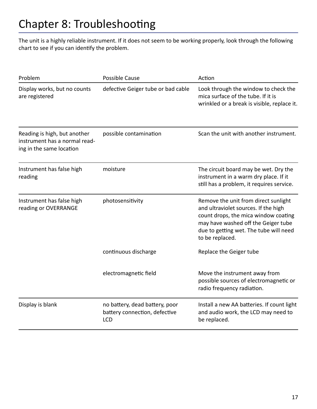The unit is a highly reliable instrument. If it does not seem to be working properly, look through the following chart to see if you can identify the problem.

| Problem                                                                                   | <b>Possible Cause</b>                                                         | Action                                                                                                                                                                                                                   |
|-------------------------------------------------------------------------------------------|-------------------------------------------------------------------------------|--------------------------------------------------------------------------------------------------------------------------------------------------------------------------------------------------------------------------|
| Display works, but no counts<br>are registered                                            | defective Geiger tube or bad cable                                            | Look through the window to check the<br>mica surface of the tube. If it is<br>wrinkled or a break is visible, replace it.                                                                                                |
| Reading is high, but another<br>instrument has a normal read-<br>ing in the same location | possible contamination                                                        | Scan the unit with another instrument.                                                                                                                                                                                   |
| Instrument has false high<br>reading                                                      | moisture                                                                      | The circuit board may be wet. Dry the<br>instrument in a warm dry place. If it<br>still has a problem, it requires service.                                                                                              |
| Instrument has false high<br>reading or OVERRANGE                                         | photosensitivity                                                              | Remove the unit from direct sunlight<br>and ultraviolet sources. If the high<br>count drops, the mica window coating<br>may have washed off the Geiger tube<br>due to getting wet. The tube will need<br>to be replaced. |
|                                                                                           | continuous discharge                                                          | Replace the Geiger tube                                                                                                                                                                                                  |
|                                                                                           | electromagnetic field                                                         | Move the instrument away from<br>possible sources of electromagnetic or<br>radio frequency radiation.                                                                                                                    |
| Display is blank                                                                          | no battery, dead battery, poor<br>battery connection, defective<br><b>LCD</b> | Install a new AA batteries. If count light<br>and audio work, the LCD may need to<br>be replaced.                                                                                                                        |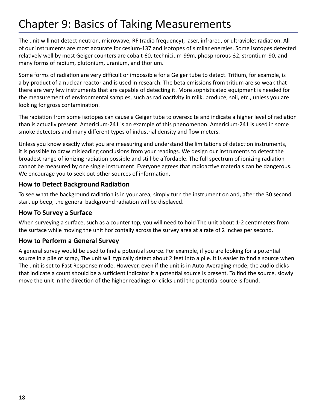# Chapter 9: Basics of Taking Measurements

The unit will not detect neutron, microwave, RF (radio frequency), laser, infrared, or ultraviolet radiation. All of our instruments are most accurate for cesium-137 and isotopes of similar energies. Some isotopes detected relatively well by most Geiger counters are cobalt-60, technicium-99m, phosphorous-32, strontium-90, and many forms of radium, plutonium, uranium, and thorium.

Some forms of radiation are very difficult or impossible for a Geiger tube to detect. Tritium, for example, is a by-product of a nuclear reactor and is used in research. The beta emissions from tritium are so weak that there are very few instruments that are capable of detecting it. More sophisticated equipment is needed for the measurement of environmental samples, such as radioactivity in milk, produce, soil, etc., unless you are looking for gross contamination.

The radiation from some isotopes can cause a Geiger tube to overexcite and indicate a higher level of radiation than is actually present. Americium-241 is an example of this phenomenon. Americium-241 is used in some smoke detectors and many different types of industrial density and flow meters.

Unless you know exactly what you are measuring and understand the limitations of detection instruments, it is possible to draw misleading conclusions from your readings. We design our instruments to detect the broadest range of ionizing radiation possible and still be affordable. The full spectrum of ionizing radiation cannot be measured by one single instrument. Everyone agrees that radioactive materials can be dangerous. We encourage you to seek out other sources of information.

#### **How to Detect Background Radiation**

To see what the background radiation is in your area, simply turn the instrument on and, after the 30 second start up beep, the general background radiation will be displayed.

#### **How To Survey a Surface**

When surveying a surface, such as a counter top, you will need to hold The unit about 1-2 centimeters from the surface while moving the unit horizontally across the survey area at a rate of 2 inches per second.

#### **How to Perform a General Survey**

A general survey would be used to find a potential source. For example, if you are looking for a potential source in a pile of scrap, The unit will typically detect about 2 feet into a pile. It is easier to find a source when The unit is set to Fast Response mode. However, even if the unit is in Auto-Averaging mode, the audio clicks that indicate a count should be a sufficient indicator if a potential source is present. To find the source, slowly move the unit in the direction of the higher readings or clicks until the potential source is found.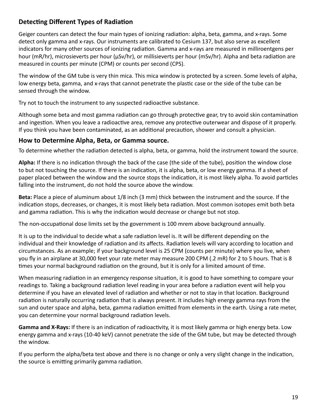## **Detecting Different Types of Radiation**

Geiger counters can detect the four main types of ionizing radiation: alpha, beta, gamma, and x-rays. Some detect only gamma and x-rays. Our instruments are calibrated to Cesium 137, but also serve as excellent indicators for many other sources of ionizing radiation. Gamma and x-rays are measured in milliroentgens per hour (mR/hr), microsieverts per hour (µSv/hr), or millisieverts per hour (mSv/hr). Alpha and beta radiation are measured in counts per minute (CPM) or counts per second (CPS).

The window of the GM tube is very thin mica. This mica window is protected by a screen. Some levels of alpha, low energy beta, gamma, and x-rays that cannot penetrate the plastic case or the side of the tube can be sensed through the window.

Try not to touch the instrument to any suspected radioactive substance.

Although some beta and most gamma radiation can go through protective gear, try to avoid skin contamination and ingestion. When you leave a radioactive area, remove any protective outerwear and dispose of it properly. If you think you have been contaminated, as an additional precaution, shower and consult a physician.

#### **How to Determine Alpha, Beta, or Gamma source.**

To determine whether the radiation detected is alpha, beta, or gamma, hold the instrument toward the source.

**Alpha:** If there is no indication through the back of the case (the side of the tube), position the window close to but not touching the source. If there is an indication, it is alpha, beta, or low energy gamma. If a sheet of paper placed between the window and the source stops the indication, it is most likely alpha. To avoid particles falling into the instrument, do not hold the source above the window.

**Beta:** Place a piece of aluminum about 1/8 inch (3 mm) thick between the instrument and the source. If the indication stops, decreases, or changes, it is most likely beta radiation. Most common isotopes emit both beta and gamma radiation. This is why the indication would decrease or change but not stop.

The non-occupational dose limits set by the government is 100 mrem above background annually.

It is up to the individual to decide what a safe radiation level is. It will be different depending on the individual and their knowledge of radiation and its affects. Radiation levels will vary according to location and circumstances. As an example; if your background level is 25 CPM (counts per minute) where you live, when you fly in an airplane at 30,000 feet your rate meter may measure 200 CPM (.2 mR) for 2 to 5 hours. That is 8 times your normal background radiation on the ground, but it is only for a limited amount of time.

When measuring radiation in an emergency response situation, it is good to have something to compare your readings to. Taking a background radiation level reading in your area before a radiation event will help you determine if you have an elevated level of radiation and whether or not to stay in that location. Background radiation is naturally occurring radiation that is always present. It includes high energy gamma rays from the sun and outer space and alpha, beta, gamma radiation emitted from elements in the earth. Using a rate meter, you can determine your normal background radiation levels.

**Gamma and X-Rays:** If there is an indication of radioactivity, it is most likely gamma or high energy beta. Low energy gamma and x-rays (10-40 keV) cannot penetrate the side of the GM tube, but may be detected through the window.

If you perform the alpha/beta test above and there is no change or only a very slight change in the indication, the source is emitting primarily gamma radiation.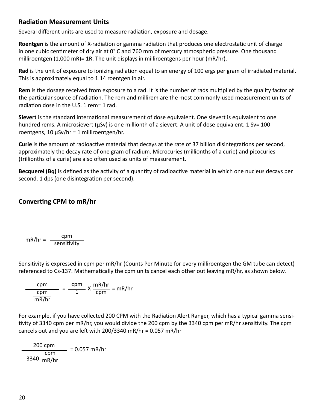#### **Radiation Measurement Units**

Several different units are used to measure radiation, exposure and dosage.

**Roentgen** is the amount of X-radiation or gamma radiation that produces one electrostatic unit of charge in one cubic centimeter of dry air at 0° C and 760 mm of mercury atmospheric pressure. One thousand milliroentgen  $(1,000 \text{ mR})$ = 1R. The unit displays in milliroentgens per hour (mR/hr).

**Rad** is the unit of exposure to ionizing radiation equal to an energy of 100 ergs per gram of irradiated material. This is approximately equal to 1.14 roentgen in air.

**Rem** is the dosage received from exposure to a rad. It is the number of rads multiplied by the quality factor of the particular source of radiation. The rem and millirem are the most commonly-used measurement units of radiation dose in the U.S. 1 rem= 1 rad.

**Sievert** is the standard international measurement of dose equivalent. One sievert is equivalent to one hundred rems. A microsievert (μSv) is one millionth of a sievert. A unit of dose equivalent. 1 Sv= 100 roentgens, 10 µSv/hr = 1 milliroentgen/hr.

**Curie** is the amount of radioactive material that decays at the rate of 37 billion disintegrations per second, approximately the decay rate of one gram of radium. Microcuries (millionths of a curie) and picocuries (trillionths of a curie) are also often used as units of measurement.

**Becquerel (Bq)** is defined as the activity of a quantity of radioactive material in which one nucleus decays per second. 1 dps (one disintegration per second).

## **Converting CPM to mR/hr**

$$
mR/hr = \frac{cpm}{sensitivity}
$$

Sensitivity is expressed in cpm per mR/hr (Counts Per Minute for every milliroentgen the GM tube can detect) referenced to Cs-137. Mathematically the cpm units cancel each other out leaving mR/hr, as shown below.

$$
\frac{\text{cpm}}{\text{cmR/hr}} = \frac{\text{cpm}}{1} \times \frac{\text{mR/hr}}{\text{cpm}} = \text{mR/hr}
$$

For example, if you have collected 200 CPM with the Radiation Alert Ranger, which has a typical gamma sensitivity of 3340 cpm per mR/hr, you would divide the 200 cpm by the 3340 cpm per mR/hr sensitivity. The cpm cancels out and you are left with 200/3340 mR/hr = 0.057 mR/hr

$$
\frac{200 \text{ rpm}}{3340 \text{ mm/hr}}
$$
 = 0.057 mR/hr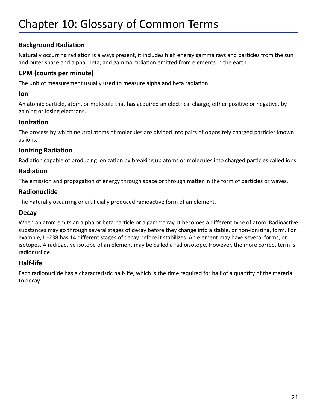## **Background Radiation**

Naturally occurring radiation is always present, it includes high energy gamma rays and particles from the sun and outer space and alpha, beta, and gamma radiation emitted from elements in the earth.

### **CPM (counts per minute)**

The unit of measurement usually used to measure alpha and beta radiation.

#### **Ion**

An atomic particle, atom, or molecule that has acquired an electrical charge, either positive or negative, by gaining or losing electrons.

#### **Ionization**

The process by which neutral atoms of molecules are divided into pairs of oppositely charged particles known as ions.

## **Ionizing Radiation**

Radiation capable of producing ionization by breaking up atoms or molecules into charged particles called ions.

#### **Radiation**

The emission and propagation of energy through space or through matter in the form of particles or waves.

#### **Radionuclide**

The naturally occurring or artificially produced radioactive form of an element.

#### **Decay**

When an atom emits an alpha or beta particle or a gamma ray, it becomes a different type of atom. Radioactive substances may go through several stages of decay before they change into a stable, or non-ionizing, form. For example; U-238 has 14 different stages of decay before it stabilizes. An element may have several forms, or isotopes. A radioactive isotope of an element may be called a radioisotope. However, the more correct term is radionuclide.

#### **Half-life**

Each radionuclide has a characteristic half-life, which is the time required for half of a quantity of the material to decay.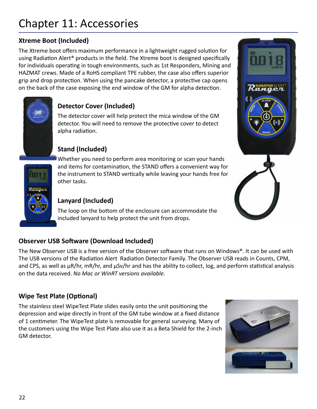# **Xtreme Boot (Included)**

The Xtreme boot offers maximum performance in a lightweight rugged solution for using Radiation Alert® products in the field. The Xtreme boot is designed specifically for individuals operating in tough environments, such as 1st Responders, Mining and HAZMAT crews. Made of a RoHS compliant TPE rubber, the case also offers superior grip and drop protection. When using the pancake detector, a protective cap opens on the back of the case exposing the end window of the GM for alpha detection.



# **Detector Cover (Included)**

The detector cover will help protect the mica window of the GM detector. You will need to remove the protective cover to detect alpha radiation.

## **Stand (Included)**

Whether you need to perform area monitoring or scan your hands and items for contamination, the STAND offers a convenient way for the instrument to STAND vertically while leaving your hands free for other tasks.

# **Lanyard (Included)**

The loop on the bottom of the enclosure can accommodate the included lanyard to help protect the unit from drops.

# **Observer USB Software (Download Included)**

The New Observer USB is a free version of the Observer software that runs on Windows®. It can be used with The USB versions of the Radiation Alert Radiation Detector Family. The Observer USB reads in Counts, CPM, and CPS, as well as  $\mu R/hr$ , mR/hr, and  $\mu Sv/hr$  and has the ability to collect, log, and perform statistical analysis on the data received. *No Mac or WinRT versions available.* 

## **Wipe Test Plate (Optional)**

The stainless steel WipeTest Plate slides easily onto the unit positioning the depression and wipe directly in front of the GM tube window at a fixed distance of 1 centimeter. The WipeTest plate is removable for general surveying. Many of the customers using the Wipe Test Plate also use it as a Beta Shield for the 2-inch GM detector.



Ramation ALERT

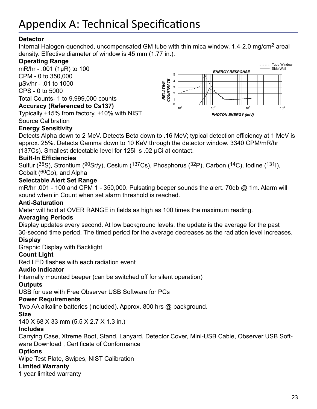#### **Detector**

Internal Halogen-quenched, uncompensated GM tube with thin mica window, 1.4-2.0 mg/cm2 areal density. Effective diameter of window is 45 mm (1.77 in.).

#### **Operating Range**

mR/hr - .001 (1µR) to 100 CPM - 0 to 350,000 µSv/hr - .01 to 1000 CPS - 0 to 5000 Total Counts- 1 to 9,999,000 counts

#### **Accuracy (Referenced to Cs137)**

Typically ±15% from factory, ±10% with NIST Source Calibration



#### **Energy Sensitivity**

Detects Alpha down to 2 MeV. Detects Beta down to .16 MeV; typical detection efficiency at 1 MeV is approx. 25%. Detects Gamma down to 10 KeV through the detector window. 3340 CPM/mR/hr (137Cs). Smallest detectable level for 125I is .02 µCi at contact.

#### **Built-In Efficiencies**

Sulfur (35S), Strontium (90Sr/y), Cesium (137Cs), Phosphorus (32P), Carbon (14C), Iodine (1311), Cobalt (60Co), and Alpha

#### **Selectable Alert Set Range**

mR/hr .001 - 100 and CPM 1 - 350,000. Pulsating beeper sounds the alert. 70db @ 1m. Alarm will sound when in Count when set alarm threshold is reached.

#### **Anti-Saturation**

Meter will hold at OVER RANGE in fields as high as 100 times the maximum reading.

#### **Averaging Periods**

Display updates every second. At low background levels, the update is the average for the past 30-second time period. The timed period for the average decreases as the radiation level increases.

#### **Display**

Graphic Display with Backlight

#### **Count Light**

Red LED flashes with each radiation event

#### **Audio Indicator**

Internally mounted beeper (can be switched off for silent operation)

#### **Outputs**

USB for use with Free Observer USB Software for PCs

#### **Power Requirements**

Two AA alkaline batteries (included). Approx. 800 hrs @ background.

#### **Size**

140 X 68 X 33 mm (5.5 X 2.7 X 1.3 in.)

#### **Includes**

Carrying Case, Xtreme Boot, Stand, Lanyard, Detector Cover, Mini-USB Cable, Observer USB Software Download , Certificate of Conformance

#### **Options**

Wipe Test Plate, Swipes, NIST Calibration

#### **Limited Warranty**

1 year limited warranty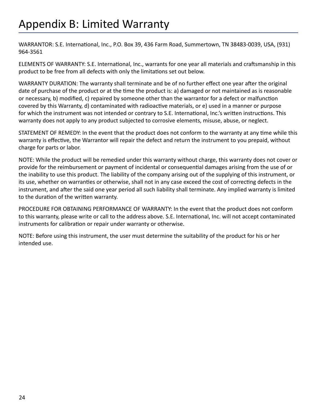WARRANTOR: S.E. International, Inc., P.O. Box 39, 436 Farm Road, Summertown, TN 38483-0039, USA, (931) 964-3561

ELEMENTS OF WARRANTY: S.E. International, Inc., warrants for one year all materials and craftsmanship in this product to be free from all defects with only the limitations set out below.

WARRANTY DURATION: The warranty shall terminate and be of no further effect one year after the original date of purchase of the product or at the time the product is: a) damaged or not maintained as is reasonable or necessary, b) modified, c) repaired by someone other than the warrantor for a defect or malfunction covered by this Warranty, d) contaminated with radioactive materials, or e) used in a manner or purpose for which the instrument was not intended or contrary to S.E. International, Inc.'s written instructions. This warranty does not apply to any product subjected to corrosive elements, misuse, abuse, or neglect.

STATEMENT OF REMEDY: In the event that the product does not conform to the warranty at any time while this warranty is effective, the Warrantor will repair the defect and return the instrument to you prepaid, without charge for parts or labor.

NOTE: While the product will be remedied under this warranty without charge, this warranty does not cover or provide for the reimbursement or payment of incidental or consequential damages arising from the use of or the inability to use this product. The liability of the company arising out of the supplying of this instrument, or its use, whether on warranties or otherwise, shall not in any case exceed the cost of correcting defects in the instrument, and after the said one year period all such liability shall terminate. Any implied warranty is limited to the duration of the written warranty.

PROCEDURE FOR OBTAINING PERFORMANCE OF WARRANTY: In the event that the product does not conform to this warranty, please write or call to the address above. S.E. International, Inc. will not accept contaminated instruments for calibration or repair under warranty or otherwise.

NOTE: Before using this instrument, the user must determine the suitability of the product for his or her intended use.